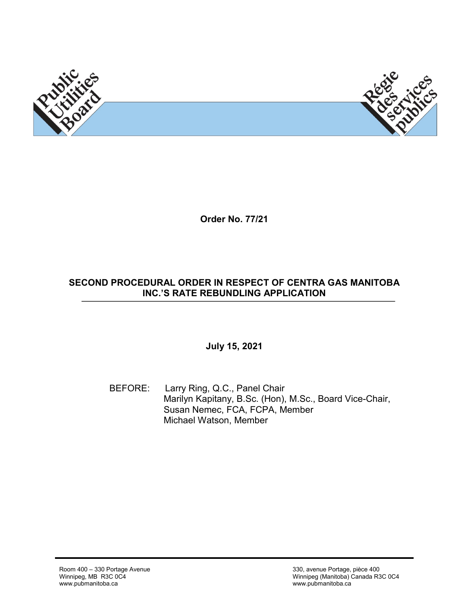



**Order No. 77/21**

#### **SECOND PROCEDURAL ORDER IN RESPECT OF CENTRA GAS MANITOBA INC.'S RATE REBUNDLING APPLICATION**

#### **July 15, 2021**

BEFORE: Larry Ring, Q.C., Panel Chair Marilyn Kapitany, B.Sc. (Hon), M.Sc., Board Vice-Chair, Susan Nemec, FCA, FCPA, Member Michael Watson, Member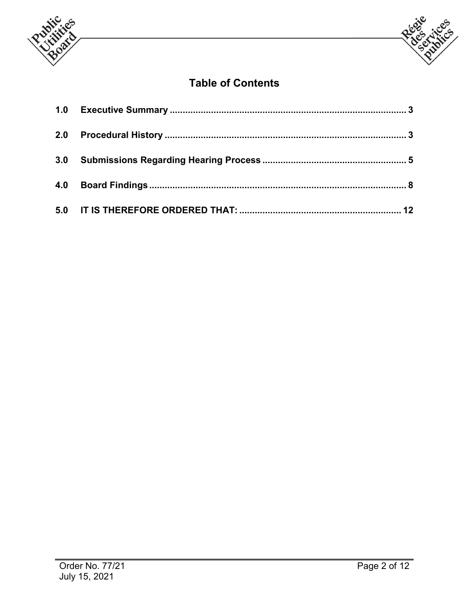



# **Table of Contents**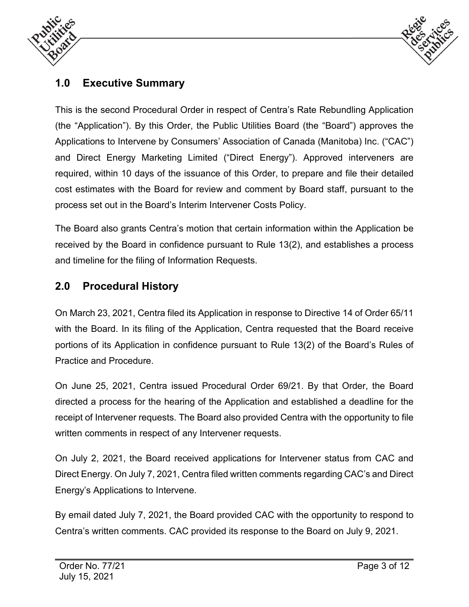



## **1.0 Executive Summary**

This is the second Procedural Order in respect of Centra's Rate Rebundling Application (the "Application"). By this Order, the Public Utilities Board (the "Board") approves the Applications to Intervene by Consumers' Association of Canada (Manitoba) Inc. ("CAC") and Direct Energy Marketing Limited ("Direct Energy"). Approved interveners are required, within 10 days of the issuance of this Order, to prepare and file their detailed cost estimates with the Board for review and comment by Board staff, pursuant to the process set out in the Board's Interim Intervener Costs Policy.

The Board also grants Centra's motion that certain information within the Application be received by the Board in confidence pursuant to Rule 13(2), and establishes a process and timeline for the filing of Information Requests.

### **2.0 Procedural History**

On March 23, 2021, Centra filed its Application in response to Directive 14 of Order 65/11 with the Board. In its filing of the Application, Centra requested that the Board receive portions of its Application in confidence pursuant to Rule 13(2) of the Board's Rules of Practice and Procedure.

On June 25, 2021, Centra issued Procedural Order 69/21. By that Order, the Board directed a process for the hearing of the Application and established a deadline for the receipt of Intervener requests. The Board also provided Centra with the opportunity to file written comments in respect of any Intervener requests.

On July 2, 2021, the Board received applications for Intervener status from CAC and Direct Energy. On July 7, 2021, Centra filed written comments regarding CAC's and Direct Energy's Applications to Intervene.

By email dated July 7, 2021, the Board provided CAC with the opportunity to respond to Centra's written comments. CAC provided its response to the Board on July 9, 2021.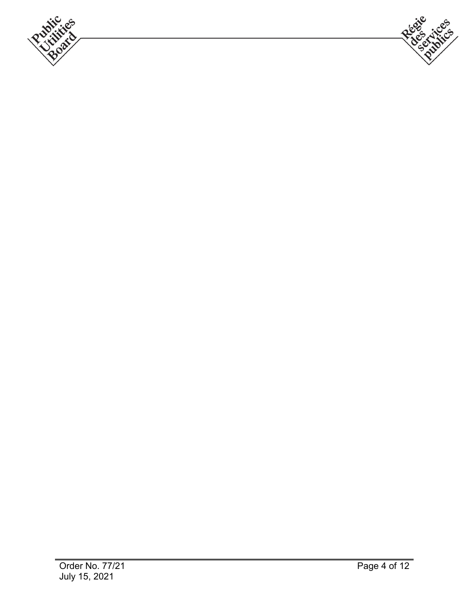

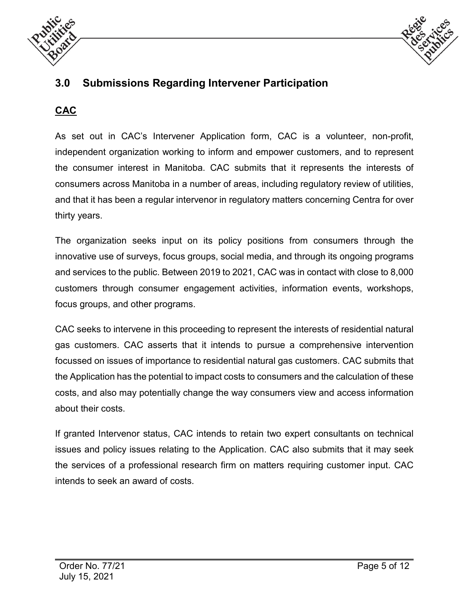



## **3.0 Submissions Regarding Intervener Participation**

### **CAC**

As set out in CAC's Intervener Application form, CAC is a volunteer, non-profit, independent organization working to inform and empower customers, and to represent the consumer interest in Manitoba. CAC submits that it represents the interests of consumers across Manitoba in a number of areas, including regulatory review of utilities, and that it has been a regular intervenor in regulatory matters concerning Centra for over thirty years.

The organization seeks input on its policy positions from consumers through the innovative use of surveys, focus groups, social media, and through its ongoing programs and services to the public. Between 2019 to 2021, CAC was in contact with close to 8,000 customers through consumer engagement activities, information events, workshops, focus groups, and other programs.

CAC seeks to intervene in this proceeding to represent the interests of residential natural gas customers. CAC asserts that it intends to pursue a comprehensive intervention focussed on issues of importance to residential natural gas customers. CAC submits that the Application has the potential to impact costs to consumers and the calculation of these costs, and also may potentially change the way consumers view and access information about their costs.

If granted Intervenor status, CAC intends to retain two expert consultants on technical issues and policy issues relating to the Application. CAC also submits that it may seek the services of a professional research firm on matters requiring customer input. CAC intends to seek an award of costs.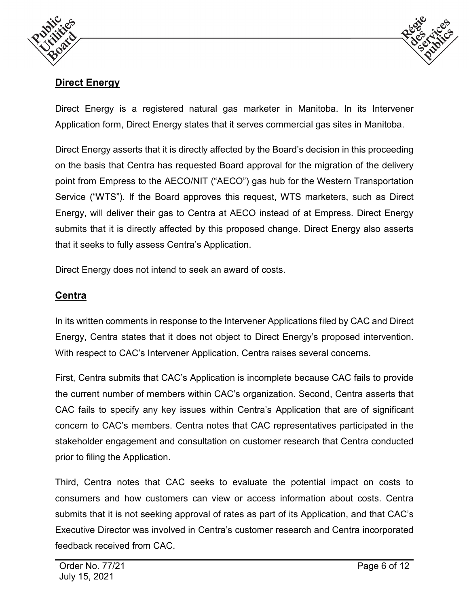



### **Direct Energy**

Direct Energy is a registered natural gas marketer in Manitoba. In its Intervener Application form, Direct Energy states that it serves commercial gas sites in Manitoba.

Direct Energy asserts that it is directly affected by the Board's decision in this proceeding on the basis that Centra has requested Board approval for the migration of the delivery point from Empress to the AECO/NIT ("AECO") gas hub for the Western Transportation Service ("WTS"). If the Board approves this request, WTS marketers, such as Direct Energy, will deliver their gas to Centra at AECO instead of at Empress. Direct Energy submits that it is directly affected by this proposed change. Direct Energy also asserts that it seeks to fully assess Centra's Application.

Direct Energy does not intend to seek an award of costs.

#### **Centra**

In its written comments in response to the Intervener Applications filed by CAC and Direct Energy, Centra states that it does not object to Direct Energy's proposed intervention. With respect to CAC's Intervener Application, Centra raises several concerns.

First, Centra submits that CAC's Application is incomplete because CAC fails to provide the current number of members within CAC's organization. Second, Centra asserts that CAC fails to specify any key issues within Centra's Application that are of significant concern to CAC's members. Centra notes that CAC representatives participated in the stakeholder engagement and consultation on customer research that Centra conducted prior to filing the Application.

Third, Centra notes that CAC seeks to evaluate the potential impact on costs to consumers and how customers can view or access information about costs. Centra submits that it is not seeking approval of rates as part of its Application, and that CAC's Executive Director was involved in Centra's customer research and Centra incorporated feedback received from CAC.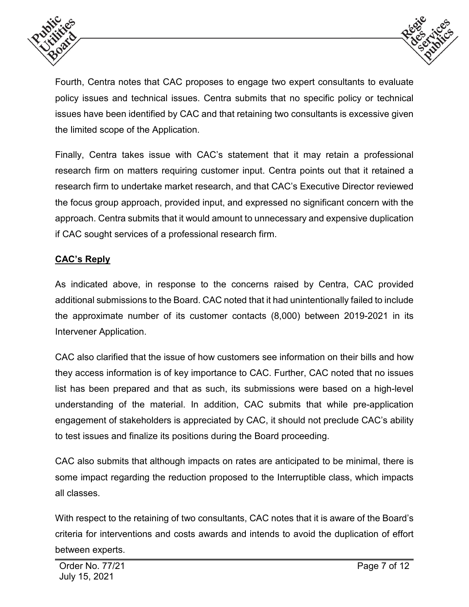



Fourth, Centra notes that CAC proposes to engage two expert consultants to evaluate policy issues and technical issues. Centra submits that no specific policy or technical issues have been identified by CAC and that retaining two consultants is excessive given the limited scope of the Application.

Finally, Centra takes issue with CAC's statement that it may retain a professional research firm on matters requiring customer input. Centra points out that it retained a research firm to undertake market research, and that CAC's Executive Director reviewed the focus group approach, provided input, and expressed no significant concern with the approach. Centra submits that it would amount to unnecessary and expensive duplication if CAC sought services of a professional research firm.

#### **CAC's Reply**

As indicated above, in response to the concerns raised by Centra, CAC provided additional submissions to the Board. CAC noted that it had unintentionally failed to include the approximate number of its customer contacts (8,000) between 2019-2021 in its Intervener Application.

CAC also clarified that the issue of how customers see information on their bills and how they access information is of key importance to CAC. Further, CAC noted that no issues list has been prepared and that as such, its submissions were based on a high-level understanding of the material. In addition, CAC submits that while pre-application engagement of stakeholders is appreciated by CAC, it should not preclude CAC's ability to test issues and finalize its positions during the Board proceeding.

CAC also submits that although impacts on rates are anticipated to be minimal, there is some impact regarding the reduction proposed to the Interruptible class, which impacts all classes.

With respect to the retaining of two consultants, CAC notes that it is aware of the Board's criteria for interventions and costs awards and intends to avoid the duplication of effort between experts.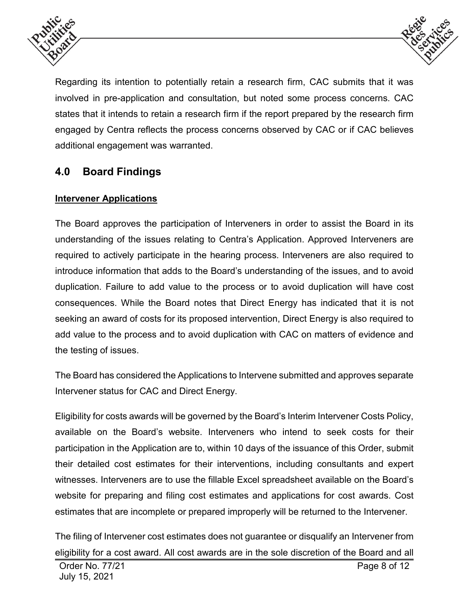



Regarding its intention to potentially retain a research firm, CAC submits that it was involved in pre-application and consultation, but noted some process concerns. CAC states that it intends to retain a research firm if the report prepared by the research firm engaged by Centra reflects the process concerns observed by CAC or if CAC believes additional engagement was warranted.

### **4.0 Board Findings**

#### **Intervener Applications**

The Board approves the participation of Interveners in order to assist the Board in its understanding of the issues relating to Centra's Application. Approved Interveners are required to actively participate in the hearing process. Interveners are also required to introduce information that adds to the Board's understanding of the issues, and to avoid duplication. Failure to add value to the process or to avoid duplication will have cost consequences. While the Board notes that Direct Energy has indicated that it is not seeking an award of costs for its proposed intervention, Direct Energy is also required to add value to the process and to avoid duplication with CAC on matters of evidence and the testing of issues.

The Board has considered the Applications to Intervene submitted and approves separate Intervener status for CAC and Direct Energy.

Eligibility for costs awards will be governed by the Board's Interim Intervener Costs Policy, available on the Board's website. Interveners who intend to seek costs for their participation in the Application are to, within 10 days of the issuance of this Order, submit their detailed cost estimates for their interventions, including consultants and expert witnesses. Interveners are to use the fillable Excel spreadsheet available on the Board's website for preparing and filing cost estimates and applications for cost awards. Cost estimates that are incomplete or prepared improperly will be returned to the Intervener.

The filing of Intervener cost estimates does not guarantee or disqualify an Intervener from eligibility for a cost award. All cost awards are in the sole discretion of the Board and all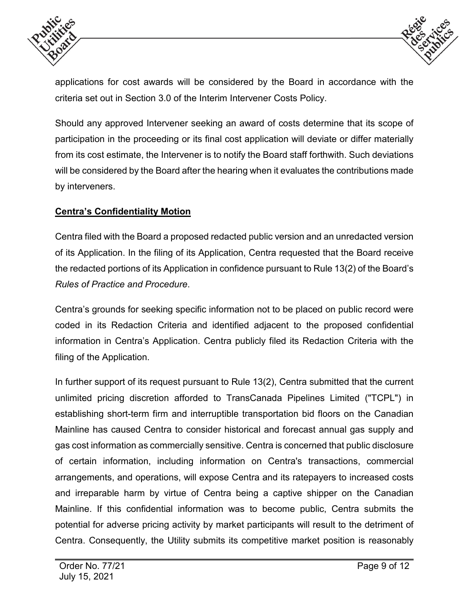



applications for cost awards will be considered by the Board in accordance with the criteria set out in Section 3.0 of the Interim Intervener Costs Policy.

Should any approved Intervener seeking an award of costs determine that its scope of participation in the proceeding or its final cost application will deviate or differ materially from its cost estimate, the Intervener is to notify the Board staff forthwith. Such deviations will be considered by the Board after the hearing when it evaluates the contributions made by interveners.

#### **Centra's Confidentiality Motion**

Centra filed with the Board a proposed redacted public version and an unredacted version of its Application. In the filing of its Application, Centra requested that the Board receive the redacted portions of its Application in confidence pursuant to Rule 13(2) of the Board's *Rules of Practice and Procedure*.

Centra's grounds for seeking specific information not to be placed on public record were coded in its Redaction Criteria and identified adjacent to the proposed confidential information in Centra's Application. Centra publicly filed its Redaction Criteria with the filing of the Application.

In further support of its request pursuant to Rule 13(2), Centra submitted that the current unlimited pricing discretion afforded to TransCanada Pipelines Limited ("TCPL") in establishing short-term firm and interruptible transportation bid floors on the Canadian Mainline has caused Centra to consider historical and forecast annual gas supply and gas cost information as commercially sensitive. Centra is concerned that public disclosure of certain information, including information on Centra's transactions, commercial arrangements, and operations, will expose Centra and its ratepayers to increased costs and irreparable harm by virtue of Centra being a captive shipper on the Canadian Mainline. If this confidential information was to become public, Centra submits the potential for adverse pricing activity by market participants will result to the detriment of Centra. Consequently, the Utility submits its competitive market position is reasonably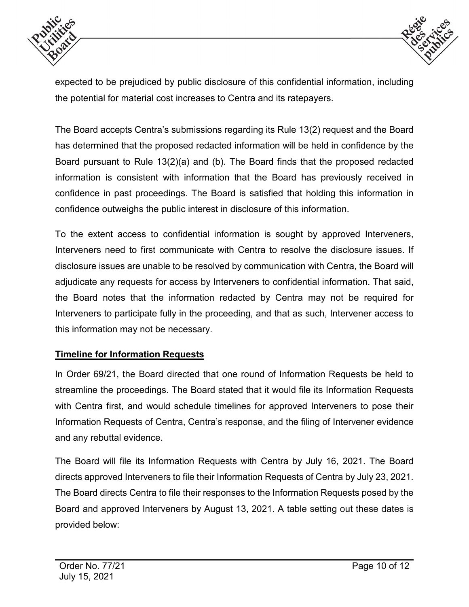



expected to be prejudiced by public disclosure of this confidential information, including the potential for material cost increases to Centra and its ratepayers.

The Board accepts Centra's submissions regarding its Rule 13(2) request and the Board has determined that the proposed redacted information will be held in confidence by the Board pursuant to Rule 13(2)(a) and (b). The Board finds that the proposed redacted information is consistent with information that the Board has previously received in confidence in past proceedings. The Board is satisfied that holding this information in confidence outweighs the public interest in disclosure of this information.

To the extent access to confidential information is sought by approved Interveners, Interveners need to first communicate with Centra to resolve the disclosure issues. If disclosure issues are unable to be resolved by communication with Centra, the Board will adjudicate any requests for access by Interveners to confidential information. That said, the Board notes that the information redacted by Centra may not be required for Interveners to participate fully in the proceeding, and that as such, Intervener access to this information may not be necessary.

#### **Timeline for Information Requests**

In Order 69/21, the Board directed that one round of Information Requests be held to streamline the proceedings. The Board stated that it would file its Information Requests with Centra first, and would schedule timelines for approved Interveners to pose their Information Requests of Centra, Centra's response, and the filing of Intervener evidence and any rebuttal evidence.

The Board will file its Information Requests with Centra by July 16, 2021. The Board directs approved Interveners to file their Information Requests of Centra by July 23, 2021. The Board directs Centra to file their responses to the Information Requests posed by the Board and approved Interveners by August 13, 2021. A table setting out these dates is provided below: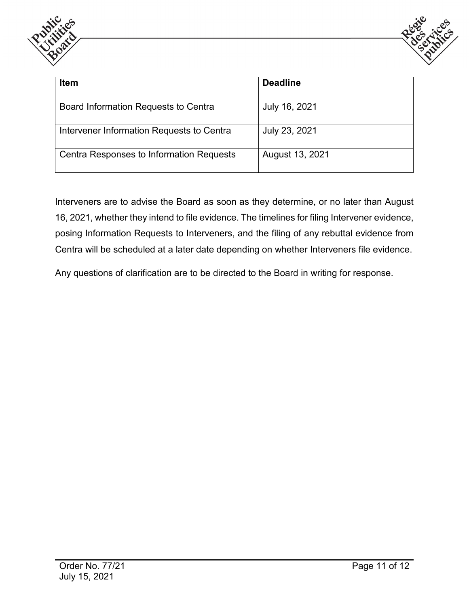



| Item                                      | <b>Deadline</b> |
|-------------------------------------------|-----------------|
| Board Information Requests to Centra      | July 16, 2021   |
| Intervener Information Requests to Centra | July 23, 2021   |
| Centra Responses to Information Requests  | August 13, 2021 |

Interveners are to advise the Board as soon as they determine, or no later than August 16, 2021, whether they intend to file evidence. The timelines for filing Intervener evidence, posing Information Requests to Interveners, and the filing of any rebuttal evidence from Centra will be scheduled at a later date depending on whether Interveners file evidence.

Any questions of clarification are to be directed to the Board in writing for response.